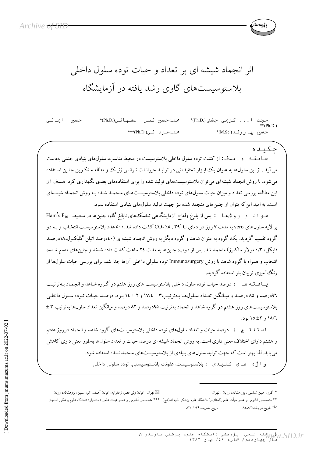اثر انجماد شیشه ای بر تعداد و حیات توده سلول داخلی پلاستوسیستهای گاوی رشد یافته در آزمایشگاه

حسين ايمانى محمدحسن نصر اصفهاني(Ph.D)\* حجت ا... كريمي جشني(Ph.D)\*  $*$ (Ph.D.) محمدمرد اني(Ph.D.)\*\*\* حسن بها روند(.M.Sc)\*

چکىدە سـا بــقــه و هـدف: از كشت توده سلول داخلي بلاستوسيست در محيط مناسب، سلولهاي بنيادي جنيني بهدست ميآيد . از اين سلولها به عنوان يک ابـزار تحقيقـاتي در توليـد حيوانـات تـرانس ژنيـک و مطالعـه تکـوين جنـين اسـتفاده می شود. با روش انجماد شیشهای می توان بلاستوسیستهای تولید شده را برای استفادههای بعدی نگهداری کرد. هـدف ا ز این مطالعه بررسی تعداد و میزان حیات سلولهای توده داخلی بلاستوسیستهای منجمـد شـده بـه روش انجمـاد شیشـهای است. به امید این که بتوان از جنینهای منجمد شده نیز جهت تولید سلولهای بنیادی استفاده نمود.

مـو ا د و روش هـا : پس از بلوغ ولقاح آزمایشگاهی تخمک های نابالغ گاو، جنینها در محیط Ham's F10 بر لایه سلولهای vero به مدت ۷ روز در دمای CO2 , ۳۹ ٬ C ( میلاشت داده شد.۵۰۰ عدد بلاستوسیست انتخـاب و بـه دو گروه تقسیم گردید. یک گروه به عنوان شاهد و گروه دیگر به روش انجماد شیشهای (٤٠درصد اتیلن گلیکـول،١٨درصـد فایکل، ۰/۳ مولار ساکارز) منجمد شد. پس از ذوب، جنینها به مدت ۲٤ ساعت کشت داده شدند و جنینهای متسع شـده، انتخاب و همراه با گروه شاهد با روش Immunosurgery توده سلولی داخلی آنها جدا شد. برای بررسی حیات سلولها از رنگ آمیزی تریپان بلو استفاده گردید.

یـــافـــتـه هــا : درصد حیات توده سلول داخلی بلاستوسیست های روز هفتم در گــروه شــاهد و انجمـاد بـهترتیـب ۹٦درصد و ٨٥ درصد و ميـانگين تعـداد سـلول١هـا بـهتر تيـب٣ ± ١٧/٤ و ٢ ± ١٤ بـود. درصـد حيـات تـوده سـلول داخلـي بلاستوسیستهای روز هشتم در گروه شاهد و انجماد بهترتیب ۹۵درصد و ۸۲ درصد و میانگین تعداد سلولها بهترتیب ۳ ± ١٨/٦ و ٤٢ ١٥ بود.

ا ستـنـنـتـاج : درصد حیات و تعداد سلولهای توده داخلی بلاستوسیستهای گروه شاهد و انجماد درروز هفتم و هشتم دارای اختلاف معنی داری است. به روش انجماد شیشه ای درصد حیات و تعداد سلولها بهطور معنی داری کاهش می یابد. لذا بهتر است که جهت تولید سلولهای بنیادی از بلاستوسیستهای منجمد نشده استفاده شود. و ا ژه هاي كليدي : بلاستوسيست، عفونت بلاستوسيستي، توده سلولي داخلي

توران : خیابان ولمی عصر، زعفرانیه، خیابان آصف، کوه سمین، یژوهشکده رویان  $\boxtimes$ 

<sup>\*</sup> گروه جنین شناسی ، یژوهشکده رویان ، تهران

<sup>\*\*</sup> متخصص آناتومي و عضو هيأت علمي(استاديار) دانشگاه علوم يزشكي بقيه الله(عج) \*\*\* متخصص آناتومي و عضو هيأت علمي (استاديار) دانشگاه علوم يزشكي اصفهان <sup>پ</sup> تاریخ دریافت:۸۲/۸/۳ تاريخ تصويب:٨٢/١١/٢٩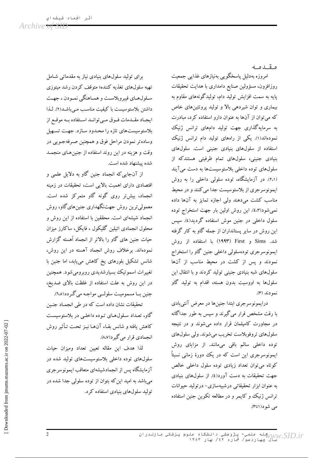Archive <del>of SID</del>

مقدمه

امروزه بهدلیل پاسخگویی بهنیازهای غذایی جمعیت روزافزون، مسؤولين صنايع دامدارى با هدايت تحقيقات پایه به سمت افزایش تولید دام، تولیدگونههای مقاوم به بیماری و توان شیردهی بالا و تولید پروتئینهای خاص که می توان از آنها به عنوان دارو استفاده کرد، مبادرت به سرمایهگذاری جهت تولید دامهای ترانس ژنیک نمودهاند(۱). یکی از راههای تولید دام ترانس ژنیک استفاده از سلولهای بنیادی جنینی است. سلولهای بنیادی جنینی، سلولهای تمام ظرفیتی هستندکه از سلول های توده داخلی بلاستوسیستها به دست می آیند (۲،۱). در آزمایشگاه، توده سلولی داخلی را به روش ايمونوسرجري از بلاستوسيست جدا مي كنند و در محيط مناسب کشت می دهند ولی اجازه تمایز به آنها داده نمي شود(٤،٣). اين روش اولين بار جهت استخراج توده سلول داخلی در جنین موش استفاده گردید(٤). سیس این روش در سایر پستانداران از جمله گاو به کار گرفته شد. Sims و First ابا استفاده از روش ايمونوسرجرى تودهسلولي داخلي جنين گاو را استخراج نمودند و پس از کشت در محیط مناسب از آنها سلولهای شبه بنیادی جنینی تولید کردند و با انتقال این سلولها به اووسیت بدون هسته، اقدام به تولید گاو نمودند (۳).

درایمونوسرجری ابتدا جنینها در معرض آنتیبادی با رقت مشخص قرار میگیرند و سپس به طور جداگانه در مجاورت کامپلمان قرار داده می شوند و در نتیجه سلول هاي تروفوبلاست تخريب مي شوند. ولي سلول هاي توده داخلی سالم باقی میمانند. از مزایای روش ایمونوسرجری این است که در یک دورهٔ زمانی نسبتاً کوتاه می توان تعداد زیادی توده سلول داخلی خالص جهت تحقیقات به دست آورد(٤). از سلولهای بنیادی به عنوان ابزار تحقیقاتی درشبیهسازی- درتولید حیوانات ترانس ژنیک و کایمر و در مطالعه تکوین جنین استفاده می شود(۱تا۳).

برای تولید سلول های بنیادی نیاز به مقدماتی شامل تهیه سلولهای تغذیه کننده؛ متوقف کردن رشد میتوزی سـلولهـاي فيبروپلاسـت و همـاهنگي نمـودن ، جهـت داشتن بلاستوسيست باكيفيت مناسب مي باشد(٢). لـذا ايجاد مقـدمات فـوق مـى توانـد اسـتفاده بـه موقـع از بلاستوسیستهای تازه را محدود سازد. جهت تسهیل وساده تر نمودن مراحل فوق و همچنین صرفه جـویی در وقت و هزینه در این روند استفاده از جنین های منجمـد شده پیشنهاد شده است.

از آنجایی که انجماد جنین گاو به دلایل علمی و اقتصادی دارای اهمیت بالایی است، تحقیقات در زمینه انجماد، بیشتر روی گونه گاو متمرکز شده است. معمولي ترين روش جهتنگهداري جنين هاي گاو، روش انجماد شیشهای است. محققین با استفاده از این روش و محلول انجمادی اتیلین گلیکول ، فایکل، ساکارز میزان حیات جنین های گاو را بالاتر از انجماد آهسته گزارش نمودهاند. برخلاف روش انجماد آهسته در این روش، شانس تشکیل بلورهای یخ کاهش می،یابد، اما جنین با تغییرات اسموتیک بسیارشدیدی روبرومیشود. همچنین در این روش به علت استفاده از غلظت بالای ضدیخ، جنين بــا مسموميـت سلولــي مواجـه مي گـردد(٦،٥).

تحقیقات نشان داده است که در طی انجمـاد جنـین گاو، تعداد سلولهای توده داخلبی در بلاستوسیست كاهش يافته و شانس بقـاء آنهـا نيـز تحـت تـأثير روش انجمادي قرار مي گيرد(٨،٧).

لذا هدف ابن مقاله تعبين تعداد ومبزان حبات سلولهای توده داخلی بلاستوسیستهای تولید شده در آزمایشگاه پس از انجمادشیشهای متعاقب ایمونوسرجری می باشد به امید این که بتوان از توده سلولی جدا شده در تولید سلولهای بنیادی استفاده کرد.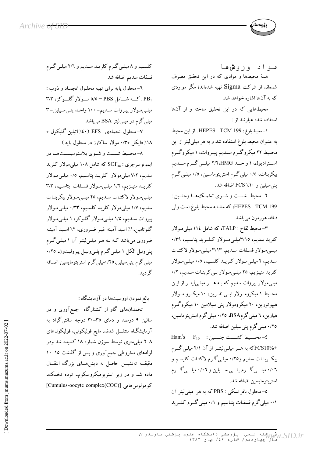مواد وروشها همهٔ محیطها و موادی که در این تحقیق مصرف شدهاند از شرکت Sigma تهیه شدهاند؛ مگر مواردی که به آنها اشاره خواهد شد.

محیطهایی که در این تحقیق ساخته و از آنها استفاده شده عبارتند از :

١- محيط بلوغ: HEPES -TCM 199 . از اين محيط به عنـوان محیط بلوغ استفاده شد و به هر میلیلیتر از این محـيط ٢٢ ميكروگـرم سـديم پيـروات، ١ ميكروگـرم استرادیول، ۱ واحـد HMG، ۲/۲ میلــی گــرم ســدیم بیکربنات، ۰/٥ میلی گرم استرپتوماسـین، ۰/٥ میلـی گـرم پنی سیلین و ۲۰٪ FCS اضافه شد.

٢- محيط شست و شـوى تخمـك٥هــا وجنــين : HEPES - TCM 199، که مشـابه محیط بلوغ است ولمی فـاقد هورمون مي باشد.

۳– محیط لقاح : TALP، که شامل ۱۱٤ میل<sub>ی</sub>مولار کلرید سدیم، ۳/۱۵میلـیمــولار کــلــرید پتاســیم، ۰/۳۹ میلی مولار فسفات سدیم، ۳/۱۳ میلی مولار لاکتات سدیم، ۲ میلےمولار کلریـد کلسیم، ۰/٥ میلـیمولار کلرید منیزیم، ٢٥ میلی مولار بی کربنات سدیم، ٠/٢ میلی مولار پیروات سدیم که بـه هـــر میلــیلیتــر از ایـن محیط ۱ میکرومولار اپسی نفـرین، ۱۰ میکـرو مـولار هیپوتورین، ۲۰ میکرومولار پنی سیلامین ۱۰ میکروگرم هپارین، ٦ میلی گرمBSA، ٢٥/٠ میلی گرم استرپنوماسین، ۲۵/۰ میلی گرم پنی سیلین اضافه شد.

Ham's  $F_{10}$  : حسيط كشست جنسين: +FCS10% که به هـر میلـی لیتـر از آن ۲/۱ میلـی گـرم بیکربنات سدیم و۰/۲٥ میلی گرم لاکتات کلیسم و ۰/۰٦ میلسی گسرم پنسی سسیلین و ۰/۰٦ میلسی گسرم استريتومايسين اضافه شد.

0- محلول بافر نمکي : PBS که به هر ً میلم لیتر آن ۰/۱ میلی گرم فسفات پتـاسیم و ۰/۱ میلی گــرم کلــرید

کلسیم و ۸ میلی گرم کلریـد سـدیم و ۲/۲ میلـی گـرم فسفات سديم اضافه شد.

٦- محلول يايه براي تهيه محلـول انجمـاد و ذوب : ۳/۳ ـ کـــه شـــامل PBS - ٥/٥ مـــولار گلـــوکز، ۳/۳ میلی مولار پیروات سدیم- ۱۰۰ واحد پنبی سیلین-۳ میلی گرم در میلی لیتر BSA می باشد.

٧- محلول انجمادي : EFS. (٤٠٪ اتيلين گليکول + ۱۸٪ فایکل +۰/۳ مولار ساکارز در محلول یایه )

٨- محـيط شســت و شــوى بلاستوسيســتهــا در ايمونوسرجري : SOFaa كه شامل ١٠٨ ميلي مولار كلريد سدیم، ۷/۲ میلیمولار کلریـد پتاسـیم، ۰/۵ میلـیمولار کلریــد منیــزیم، ۱/۲ میلــیمـولار فســفات پتاســیم، ۳/۳ میلی مولار لاکتات سدیم، ٢٥ میلی مولار بیکربنات سدیم، ۱/۷ میلی مولار کلرید کلسیم، ۰/۳۳ میلی مولار پیروات سـدیم، ۱/۵ میلـیمولار گلـوکز، ۱ میلـیمـولار گلوتامین،۱٪ اسید آمینه غیـر ضـروری، ۲٪ اسـید آمینـه ضروری می باشد کـه بـه هـر میلـیلیتـر آن ۱ میلـی گـرم پلی ونیل الکل ۱ میلی گرم پلهی ونیل پیرولیدون، ۰/۲٥ میلی گرم پنی سیلین،۲۵؍۰میلی گرم استرپتومایسین اضـافه گە دىد.

بالغ نمودن اووسیتها در آزمایشگاه :

تخمدانهای گاو از کشتارگاه جمعآوری و در سالین ۹ درصد و دمای ۳۵-۳۰ درجه سانتیگراد به آزمایشگـاه منتقــل شدند. مایع فولیکولی، فولیکول&ای ۸–۲ میلمیمتری توسط سوزن شماره ۱۸ کشیده شد ودر لولههای مخروطی جمعآوری و پس از گذشت ۱۵–۱۰ دقیقــه تهنشیـــن حاصل به دیشهــای بزرگ انتقــال داده شد و در زیر استریومیکروسکوپ توده تخمک، کومولوس هایی [Cumulus-oocyte complex(COC)]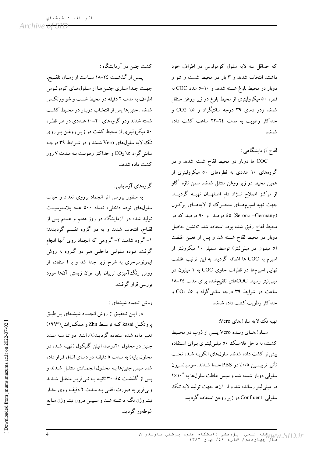كشت جنين در آزمايشگاه :

پسس از گذشت ٢٤-١٨ سـاعت از زمـان تلقـيح، جهت جدا سازي جنينها از سلولهاي كومولوس اطراف به مدت ۲ دقیقه در محیط شست و شو ورتکس شدند . جنینها پس از انتخاب دوبـار در محـیط کشـت شسته شدند ودر گروههای ۲۰-۱۰ عـددی در هـر قطـره ۵۰ میکرولیتری از محیط کشت در زیـر روغـن بـر روی تک لایه سلولهای Vero شدند و در شرایط ۳۹ درجه سانتیگراد ۵٪  $\rm CO_{2}$  و حداکثر رطوبت بـه مـدت ۷ روز كشت داده شدند.

گروههای آزمایشی :

به منظور بررسی اثر انجماد برروی تعداد و حیات سلولهای توده داخلی، تعداد ۵۰۰ عدد بلاستوسیست تولید شده در آزمایشگاه در روز هفتم و هشتم پس از لقـاح، انتخاب شدند و به دو گروه تقسیم گردیدند: ۱– گروه شاهـد ۲– گروهی که انجماد روی آنها انجام گرفت. تـوده سلولـی داخلـی هـر دو گـروه به روش ایمونوسرجری به شرح زیر جدا شد و با ا ستفاده از روش رنگ آمیزی ترییان بلو، توان زیستی آنها مورد بررسی قرار گرفت.

روش انجماد شيشهاى :

در این تحقیق از روش انجماد شیشهای بر طبق یروتکسل kasai کــه توســط Zhn و همکــارانش(۱۹۹۳) تغییر داده شده استفاده گردیـد(۹). ابتـدا دو تـا سـه عـدد جنین در محلول ۲۰درصد اتیلن گلیکول (تهیـه شـده در محلول پایه) به مـدت ٥ دقیقـه در دمـای اتـاق قـرار داده شد. سپس جنینها بـه محلول انجمـادي منتقـل شـدند و پس از گذشت ٤٥-٣٠ ثانيـه بـه نـيفريـز منتقـل شـدند ونیفریز به صورت افقی بـه مـدت ۲ دقیقـه روی بخـار نیتـروژن نگـه داشـته شـد و سـپس درون نیتـروژن مـایع غوطهور گرديد.

که حداقل سه لایه سلول کومولوس در اطراف خود داشتند انتخاب شدند و ۳ بار در محیط شست و شو و دوبار در محیط بلوغ شسته شدند و ۱۰–۵ عدد COC به قطره ٥٠ ميكروليتري از محيط بلوغ در زير روغن منتقل شدند ودر دمای ۳۹ درجه سانتیگراد و ۵٪ CO2 و حداکثر رطوبت به مدت ٢٤-٢٢ ساعت کشت داده شدند.

لقاح آزمایشگاهی :

COC ها دوبار در محیط لقاح شسته شدند و در گروههای ۱۰ عددی به قطرههای ۵۰ میکرولیتری از همین محیط در زیر روغن منتقل شدند. سمن تازه گاو از مرکز اصلاح نـژاد دام اصفهـان تهيـه گرديـد. جهت تهیه اسپرمهـای متحـرک از لایههـای پرکول (Serono -Germany) ٤٥ درصد و ٩٠ درصد كه در محيط لقاح رقيق شده بود، استفاده شد. تهنشين حاصل دوبار در محیط لقاح شسته شد و پس از تعیین غلظت (٥ میلیون در میلیلیتر) توسط سمپلر ١٠ میکرولیتر از اسپرم به COC ها اضافه گردید. به این ترتیب غلظت نهایی اسپرمها در قطرات حاوی COC به ۱ میلیون در میلی لیتر رسید. COCهای تلقیحشده برای مدت ٢٤-١٨ ساعت در شرایط ۳۹ درجه سانتیگراد و ۵٪  $\rm CO_2$  و حداكثر رطوبت كشت داده شدند.

تهيه تک لايه سلولهاي Vero:

سلولهای زنـده Vero پـس از ذوب در محـيط کشت، به داخل فلاسک ٥٠ میلـیلیتـری بـرای اسـتفاده بیش تر کشت داده شدند. سلولهای انکوبه شـده تحت تأثير تريپسـين ٠/٥٪ در PBS جـدا شـدند. سوسپانسـيون سلولی دوبار شسته شد و سپس غلظت سلولها به ۱×۱۰ در میلی لیتر رسانده شد و از آنها جهت تولید لایه تک سلولی Confluent در زیر روغن استفاده گردید.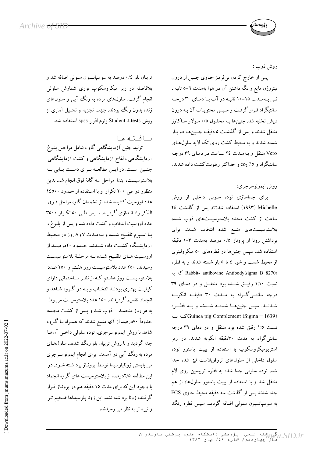روش ذوب :

پس از خارج كردن نيفريـز حـاوى جنـين از درون نیتروژن مایع و نگه داشتن آن در هوا بهمدت ٦–٥ ثانیه ، نبی به مدت ۱۵-۱۰ ثانیـه در آب بـا دمـای ۳۰ درجـه سانتیگراد قـرار گرفـت و سـیس محتویـات آن بـه درون ديش تخليه شد. جنينها بـه محلـول ٠/٥ مـولار سـاكارز منتقل شدند و پس از گذشت ٥ دقیقـه جنـین۵ـا دو بـار شسته شدند و به محیط کشت روی تکه لایه سلول های Vero منتقل و به مدت ٢٤ ساعت در دماي ٣٩ درجه سانتیگراد و ۵٪ co2 و حداکثر رطوبت کشت داده شدند.

روش ايمونوسرجري:

برای جداسازی توده سلولی داخلی از روش Michelle (۱۹۹۳) استفاده شد(۳). يس از گذشت ٢٤ ساعت از کشت مجدد بلاستوسیستهای ذوب شده، بلاستوسیستهای متسع شده انتخاب شدند. برای برداشتن زونا از پروناز ٠/٥ درصد بهمدت ٣-١ دقیقه استفاده شد. سپس جنینها در قطرههای ٥٠ میکرولیتری از محیط شست و شو، ٤ تا ٥ بار شسته شدند و به قطره كه به Rabbit- antibovine Antibody(sigma B 8270) نسبت ۱:۱۰ رقیــق شــده بود منتقــل و در دمـای ۳۹ درجه سانتسی گراد به ملدت ۳۰ دقیقه انکوبه شدنــد. سپس جنینهــا شستــه شــدند و بــه قطـــره Guinea pig Complement (Sigma – 1639) نسبت ١:٥ رقيق شده بود منتقل و در دمای ٣٩ درجه سانتیگراد به مدت ۳۰دقیقه انکوبه شدند. در زیر استریومیکروسکوپ با استفاده از پیپت پاستور توده سلول داخلی از سلولهای تروفوبلاست لیز شده جدا شد. توده سلولی جدا شده به قطره تریپسین روی لام منتقل شد و با استفاده از پیپت پاستور سلولها، از هم جدا شدند پس از گذشت سه دقیقه محیط حاوی FCS به سوسپانسیون سلولی اضافه گردید. سپس قطره رنگ

تریبان بلو ۰/٤ درصد به سوسپانسیون سلولی اضافه شد و بلافاصله در زیر میکروسکوپ نوری شمارش سلولی انجام گرفت. سلولهای مرده به رنگ آبی و سلولهای زنده بدون رنگ بودند. جهت تجزیه و تحلیل آماری از روش Student .t.tests ونرم افزار spss استفاده شد.

يافته ها تولید جنین آزمایشگاهی گاو ، شامل مراحل بلـوغ آزمایشگاهی ، لقاح آزمایشگاهی و کشت آزمایشگاهی جنين است. در ايـن مطالعـه بـراي دسـت يـابي بـه بلاستوسیست، ابتدا مراحل سه گانهٔ فوق انجام شد. بدین منظور در طی ۲۰۰ تکرار و با استفاده از حـدود ۱٤٥٠٠ عدد اووسیت کشیده شده از تخمدان گاو، مراحل فـوق الذکر راه انـدازی گردیـد. سـیس طـی ٥٠ تکـرار ٣٥٠٠ عدد اووسيت انتخاب و كشت داده شد و يس از بلـوغ ، با اسپرم تلقیح شده و بهمدت ۷ و۸ روز در محیط آزمایشگاه کشــت داده شــدند. حــدود ۲۰درصــد از اووسـيت هـاي تلقـيح شـده بـه مرحلـهٔ بلاستوسيسـت رسیدند. ۲۵۰ عدد بلاستوسیست روز هفـتم و ۲۵۰ عـدد بلاستوسیست روز هشتم کـه از نظـر سـاختمانی دارای کیفیت بهتری بودنـد انتخـاب و بـه دو گـروه شـاهد و انجماد تقسیم گردیدند. ۱۵۰ عدد بلاستوسیست مربـوط به هر روز منجمـد –ذوب شـد و پـس از كشـت مجـدد حدوداً ۷۰درصد از آنها متسع شدند که همـراه بـا گـروه شاهد با روش ايمونوسرجري، توده سلولي داخلي آن ها جدا گردید و با روش تریپان بلو رنگ شدند. سلولهـای مرده به رنگ آبی در آمدند. برای انجام ایمونوسرجری می بایستی زوناپلوسیدا توسط پرونـاز برداشـته شـود. در این مطالعه ۲/۵درصد از بلاستوسیست های گروه انجماد با وجود این که برای مدت ۱۵ دقیقه هم در پرونـاز قـرار گرفتند، زونا برداشته نشد. این زونا پلوسیداها ضخیم تـر و تيره تر به نظر مي رسيدند.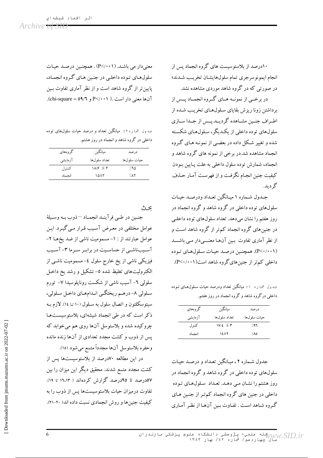۱۰درصد از بلاستوسیست های گروه انجماد پس از انجام ايمونوسرجري تمام سلولهايشان تخريب شدند؛ در صورتی که در گروه شاهد موردی مشاهده نشد.

در برخــي از نمونــه هــاي گــروه انجمــاد پــس از برداشتن زونا ریزش بقایای سلولهای تخریب شده از اطـراف جنـین مشـاهده گردیــد.پـس از جـدا ســازي سلولهای توده داخلی از یکـدیگر، سـلولهـای شکسـته شده و تغییر شکل داده در بعضبی از نمونـه هـای گـروه انجماد مشاهده شد.در برخی از نمونه های گروه شاهد و انجماد، شمارش توده سلول داخلی به علت پایین بودن کیفیت جنین انجـام نگرفـت و از فهرسـت آمـار حـذف گه دىد.

جـدول شـماره ۱ میـانگین تعـداد ودرصـد حیـات سلولهای توده داخلی در گروه شاهد و گروه انجماد در روز هفتم را نشان میدهد. تعداد سلولهای توده داخلبی در جنینهای گروه انجماد کم تر از گروه شاهد است و از نظر آماری تفاوت بـین آنهـا معنـــیدار مـی باشـــد (P<۰/۰۰۱). همچنین درصد حیات سلولهای توده داخلی کم تر از جنین های گروه شاهد است(۱۰۰۱-×P).

جدول شما ره ۱۰ میانگین تعداد ودرصد حیات سلولهای تـوده داخلی درگروه شاهد و گروه انجماد در روز هفتم.

| گر وههای | ميانگين                         | درصد        |
|----------|---------------------------------|-------------|
| آزمايشى  | تعداد سلولها                    | حيات سلولها |
| كنتر ل   | $1V/\mathcal{E} \pm \mathbf{r}$ | 797         |
| انجماد   | 12±7                            | ٥٨٪ /       |

جدول شـماره ۲، میـانگین تعـداد و درصـد حیـات سلولهای توده داخلی در گروه شاهد و گروه انجماد در روز هشتم را نشـان مـى دهـد. تعـداد سـلولهـاي تـوده داخلی در جنین های گروه انجماد کم تر از جنین هـای گروه شاهد است . تفاوت بـین آنهـا از نظـر آمـاری

معنیدار می باشد. (P</۰۰۱) . همچنین درصد حیات سلولهای توده داخلی در جنین های گروه انجماد، پایین تر از گروه شاهد است و از نظر آماری تفاوت بـین آنها معنی دار است .( P</۰۰۱ و P</۰۰۱.).

جدول شما ره ۲: میانگین تعداد و درصد حیات سلولهای توده داخلی در گروه شاهد و انجماد در روز هشتم.

| گروههای | ميانگين                              | در صد        |
|---------|--------------------------------------|--------------|
| آزمايشي | تعداد سلولها                         | حيات سلو لھا |
| کنترل   | $1\lambda$ / $\epsilon$ $\pm$ $\tau$ | ۸۵٪          |
| انحماد  | ۱۵±۲                                 | <b>AX</b>    |

محث

جنـين در طـبي فرآينـد انجمـاد –ذوب بـه وسـيلهٔ عوامل مختلفی در معـرض آسـیب قـرار مـی گیـرد. ایـن عوامل عبارتند از : ١- مسموميت ناشي از ضد يخهـا ٢-آسـيبناشـي از حساسـيت در برابـر سـرما ٣- آسـيب فیزیکی ناشی از یخ خارج سلول ٤– مسمومیت ناشـی از الکترولیتهای تغلیظ شده ٥- تشکیل و رشد یخ داخـل سلولی ٦- آسیب ناشی از شکست روناپلوسیدا ٧- تورم سلولي ٨- درهـم ريختگـي انـدامهـاي داخـل سـلولي، سیتوسکلتون و اتصال سلول به سـلول (۱۰ تـا ۱٤). لازم بـه ذکر است که در طی انجماد شیشهای، بلاستوسیستها چروکیده شده و بلاستوسل آنها روی هم می خوابد که پس از ذوب و کشت مجدد تعدادی از آنها زنده مانده وحفره بلاستوسل آنها مجدداً متسع مي شود (١٥).

در این مطالعه ۷۰درصد از بلاستوسیستها پس از کشت مجدد متسع شدند. محقیق دیگر این میزان را بین ٥٧درصد تا ٩٥درصد گزارش كردهاند ( ١٦،١٣ تا ١٩). تفاوت درمیزان حیات بلاستوسیستها پس از ذوب را به کیفیت جنین ها و روش انجمادی نسبت داده اند( ۲۰-۲۱).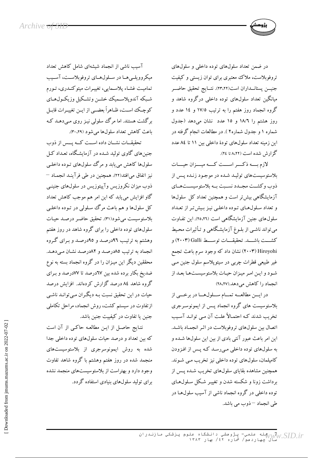در ضمن تعداد سلول های توده داخلی و سلول های تروفوبلاست، ملاک معتبری برای توان زیستی و کیفیت جنيـــن پستانـــداران است(٢٣،٢٢). نتـــايج تحقيق حاضـــر میانگین تعداد سلولهای توده داخلی درگروه شاهد و گروه انجماد روز هفتم را به ترتیب ۱۷/۵ و ۱۶ عدد و روز هشتم را ١٨/٦ و ١٥ عدد نشان مى دهد (جدول شماره ۱ و جدول شماره۲ ). در مطالعات انجام گرفته در این زمینه تعداد سلولهای تودهٔ داخلی بین ۱۱ تا ۸٤ عدد گزارش شده است (۸،۲۲ تا ۲٤).

لازم بسه ذكسر اسست كسه ميسزان حيسات بلاستوسیستهای تولیـد شـده در موجـود زنـده پـس از ذوب وكشـت مجـدد نسـبت بـه بلاستوسيسـتهـاي آزمایشگاهی بیش تر است و همچنین تعداد کل سلولها و تعداد سلولهای تـوده داخلـی نیـز بـیشتر از تعـداد سلول های جنین آزمایشگاهی است (۲۵،۲٦). این تفـاوت می تواند ناشبی از بلـوغ آزمایشگاهی و تـأثیرات محـیط كشـــت باشـــد. تحقيقـــات توســـط Galli(۲۰۰۳) و .<br>Hiroyohi (۲۰۰۳) نشان داد که وجود سرم باعث تجمع غیر طبیعی قطرات چربی در سیتوپلاسم سلول جنین مـی شود و اين امر ميزان حيات بلاستوسيستها بعد از انجماد را كاهش مي دهد.(٢٨،٢٧)

در ايسن مطالعه تمهام سلول ها در برخمي از بلاستوسیست های گروه انجماد پـس از ایمونوسـرجری تخریب شدند کـه احتمـالاً علـت آن مـي توانـد آسـيب اتصال بین سلولهای تروفوبلاست در اثـر انجمـاد باشـد. این امر باعث عبور آنتی بادی از بین این سلولها شـده و به سلولهای توده داخلی مے رسد کـه پـس از افـزودن کامیلمان، سلولهای توده داخلی نیز تخریب مبی شـوند. همچنین مشاهده بقایای سلولهای تخریب شـده پـس از برداشت زونا و شکسته شدن و تغییـر شـکل سـلولهـای توده داخلی در گروه انجماد ناشی از آسیب سلولهـا در طی انجماد –ذوب می باشد.

آسیب ناشی از انجماد شیشهای شامل کاهش تعداد میکروویلمیها در سلولهای تروفوبلاست، آسیب .<br>تماميت غشـاء پلاسـمايي، تغييـرات ميتوكنـدري، تـورم شبكه آندويلاسـميك خشـن وتشـكيل وزيكـولهـاي كوچك است، ظـاهراً بعضـي از ايــن تغييــرات قابــل برگشت هستند. اما مرگ سلولی نیـز روی مـی۵هـد کـه باعث كاهش تعداد سلولها مي شود (٢٠،٢٩).

تحقیقــات نشــان داده اســت کــه یــس از ذوب جنین های گاوی تولید شـده در آزمایشگاه، تعـداد کـل سلولها کاهش مي پابد و مرگ سلولهاي تـوده داخلـي نيز اتفاق مي افتد(٢٢). همچنين در طي فرآينـد انجمـاد – ذوب میزان نکروزیس وآپیتوزیس در سلولهای جنینـی گاو افزایش می یابد که این امر هم موجب کاهش تعداد کل سلولها و هم باعث مرگ سلولې در تـوده داخلـې بلاستوسيست مي شود(٣١). تحقيق حاضر درصد حيات سلولهای توده داخلی را برای گروه شاهد در روز هفتم وهشتم به ترتیب ۹۲درصد و ۹۵درصد و برای گروه انجماد به ترتیب ٨٥درصد و ٨٢درصد نشان مىدهـد. محققین دیگر این میـزان را در گروه انجماد بسته به نوع ضدیخ بکار برده شده بین ۲۷درصد تا ۷۷درصد و بـرای گروه شاهد ۸٤ درصد گزارش کردهاند. افزایش درصد حیات در این تحقیق نسبت بـه دیگـران مـیتوانـد ناشـی ازتفاوت در سیستم کشت، روش انجماد، مراحل تکاملی جنین یا تفاوت در کیفییت جنین باشد.

نتـايج حاصـل از ايـن مطالعـه حاكـي از آن است که بین تعداد و درصد حیات سلولهای توده داخلی جدا شده به روش ایمونوسرجری از بلاستوسیستهای منجمد شده در روز هفتم وهشتم با گروه شاهد تفاوت وجود دارد و بهتراست از بلاستوسیستهای منجمد نشده برای تولید سلولهای بنیادی استفاده گردد.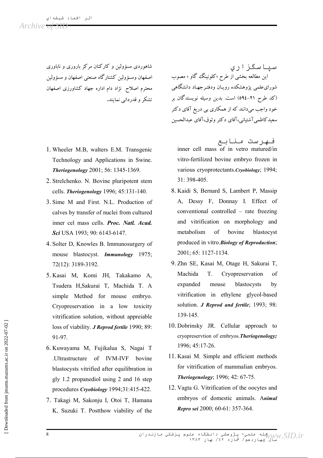شاهوردی مسؤولین و کارکنان مرکز باروری و ناباوری اصفهان ومسؤولين كشتارگاه صنعتي اصفهان و مسؤولين محترم اصلاح نژاد دام اداره جهاد کشاورزی اصفهان تشکر و قدردانی نمایند.

- 1. Wheeler M.B. walters E.M. Transgenic Technology and Applications in Swine. **Theriogenology** 2001; 56: 1345-1369.
- 2. Strelchenko. N. Bovine pluripotent stem cells. Theriogenology 1996; 45:131-140.
- 3. Sime M and First, N.L. Production of calves by transfer of nuclei from cultured inner cel mass cells. Proc. Natl. Acad. Sci USA 1993; 90: 6143-6147.
- 4. Solter D, Knowles B. Immunosurgery of mouse blastocyst. *Immunology* 1975; 72(12): 3189-3192.
- 5. Kasai M, Komi JH, Takakamo A, Tsudera H.Sakurai T. Machida T. A simple Method for mouse embryo. Cryopreservation in a low toxicity vitrification solution, without appreiable loss of viability. J Reprod fertile 1990; 89: 91-97.
- 6. Kuwayama M, Fujikalua S, Nagai T .Ultrastructure of IVM-IVF bovine blastocysts vitrified after equilibration in gly 1.2 propanediol using 2 and 16 step procedures Cryobiology 1994;31:415-422.
- 7. Takagi M, Sakonju I, Otoi T, Hamana K, Suzuki T. Postthow viability of the

سياسگزاري این مطالعه بخشی آر طرح «کلونینگ گاو » مصوب شوراىءلميى پژوهشكده رويـان ودفتـرجهـاد دانشگاهي (کد طرح ۲۱–٥۹٤) است. بدین وسیله نویسندگان بر خود واجب میدانند که از همکاری بی دریغ آقای دکتر سعيدكاظمي آشتياني،آقاي دكتر وثوق،آقاي عبدالحسين

فهرست منابع inner cell mass of in vetro matured/in vitro-fertilized bovine embryo frozen in various cryoprotectants. Cryobiology; 1994; 31: 398-405.

- 8. Kaidi S, Bernard S, Lambert P, Massip A, Dessy F, Donnay I. Effect of conventional controlled – rate freezing and vitrification on morphology and metabolism of bovine blastocyst produced in vitro. Biology of Reproduction: 2001; 65: 1127-1134.
- 9. Zhn SE, Kasai M, Otage H, Sakurai T,  $\sigma$ Machida  $T$ Cryopreservation expanded mouse blastocysts by vitrification in ethylene glycol-based solution. *J Reprod and fertile*; 1993; 98: 139-145.
- 10. Dobrinsky JR. Cellular approach to cryopreservtion of embryos. Theriogenology; 1996; 45:17-26.
- 11. Kasai M. Simple and efficient methods for vitrification of mammalian embryos. Theriogenology; 1996; 42: 67-75.
- 12. Vagta G. Vitrification of the oocytes and embryos of domestic animals. Animal Repro sei 2000; 60-61: 357-364.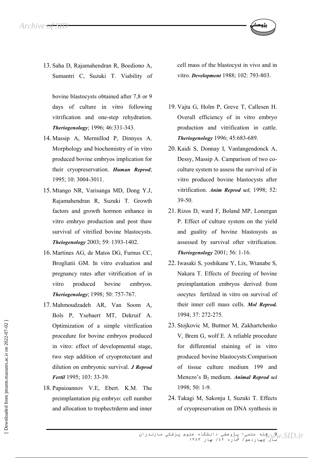13. Saha D, Rajamahendran R, Boediono A, Sumantri C, Suzuki T. Viability of

bovine blastocysts obtained after 7,8 or 9 days of culture in vitro following vitrification and one-step rehydration. Theriogenology; 1996; 46:331-343.

- 14. Massip A, Mermillod P, Dinnyes A. Morphology and biochemistry of in vitro produced bovine embryos implication for their cryopreservation. Human Reprod; 1995; 10: 3004-3011.
- 15. Mtango NR, Varisanga MD, Dong Y.J. Rajamahendran R, Suzuki T. Growth factors and growth hormon enhance in vitro emhryo production and post thaw survival of vitrified bovine blastocysts. Theiogenology 2003; 59: 1393-1402.
- 16. Martines AG, de Matos DG, Furnus CC, Brogliatii GM. In vitro evaluation and pregnancy rates after vitrification of in vitro produced bovine embrvos. Theriogenology; 1998; 50: 757-767.
- 17. Mahmoudzadeh AR, Van Soom A, Bols P, Ysebaert MT, Dekruif A. Optimization of a simple vitrification procedure for bovine embryos produced in vitro: effect of developmental stage, two step addition of cryoprotectant and dilution on embryonic survival. J Reprod Fertil 1995; 103: 33-39.
- 18. Papaioannov V.E. Ebert. K.M. The preimplantation pig embryo: cell number and allocation to trophectrderm and inner

cell mass of the blastocyst in vivo and in vitro. *Development* 1988; 102: 793-803.

- 19. Vajta G, Holm P, Greve T, Callesen H. Overall efficiency of in vitro embryo production and vitrification in cattle. Theriogenology 1996; 45:683-689.
- 20. Kaidi S, Donnay I, Vanlangendonck A, Dessy, Massin A. Camparison of two coculture system to assess the survival of in vitro produced bovine blastocysts after vitrification. Anim Reprod sci; 1998; 52:  $39 - 50$
- 21. Rizos D, ward F, Boland MP, Lonergan P. Effect of culture system on the yield and guality of bovine blastosysts as assessed by survival ofter vitrification. Theriogenology 2001; 56: 1-16.
- 22. Iwasaki S, yoshikane Y, Lix, Wtanabe S, Nakara T. Effects of freezing of bovine preimplantation embryos derived from oocytes fertilzed in vitro on survival of their inner cell mass cells. Mol Reprod. 1994; 37: 272-275.
- 23. Stojkovic M, Buttner M, Zakhartchenko V, Brem G, wolf E. A reliable procedure for differential staining of in vitro produced bovine blastocysts: Comparison of tissue culture medium 199 and Menezo's B<sub>2</sub> medium. Animal Reprod sci 1998; 50: 1-9.
- 24. Takagi M. Sakoniu I. Suzuki T. Effects of cryopreservation on DNA synthesis in